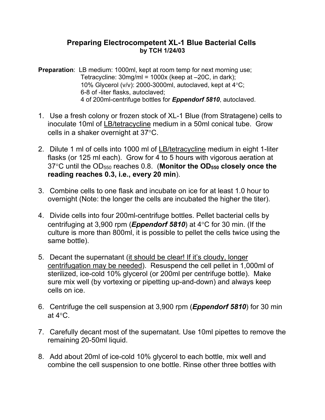## **Preparing Electrocompetent XL-1 Blue Bacterial Cells by TCH 1/24/03**

**Preparation:** LB medium: 1000ml, kept at room temp for next morning use; Tetracycline: 30mg/ml = 1000x (keep at –20C, in dark); 10% Glycerol (v/v): 2000-3000ml, autoclaved, kept at  $4^{\circ}$ C; 6-8 of -liter flasks, autoclaved; 4 of 200ml-centrifuge bottles for *Eppendorf 5810*, autoclaved.

- 1. Use a fresh colony or frozen stock of XL-1 Blue (from Stratagene) cells to inoculate 10ml of LB/tetracycline medium in a 50ml conical tube. Grow cells in a shaker overnight at  $37^{\circ}$ C.
- 2. Dilute 1 ml of cells into 1000 ml of LB/tetracycline medium in eight 1-liter flasks (or 125 ml each). Grow for 4 to 5 hours with vigorous aeration at 37C until the OD550 reaches 0.8. (**Monitor the OD550 closely once the reading reaches 0.3, i.e., every 20 min**).
- 3. Combine cells to one flask and incubate on ice for at least 1.0 hour to overnight (Note: the longer the cells are incubated the higher the titer).
- 4. Divide cells into four 200ml-centrifuge bottles. Pellet bacterial cells by centrifuging at 3,900 rpm (**Eppendorf 5810**) at  $4^{\circ}$ C for 30 min. (If the culture is more than 800ml, it is possible to pellet the cells twice using the same bottle).
- 5. Decant the supernatant (it should be clear! If it's cloudy, longer centrifugation may be needed). Resuspend the cell pellet in 1,000ml of sterilized, ice-cold 10% glycerol (or 200ml per centrifuge bottle). Make sure mix well (by vortexing or pipetting up-and-down) and always keep cells on ice.
- 6. Centrifuge the cell suspension at 3,900 rpm (*Eppendorf 5810*) for 30 min at  $4^{\circ}$ C.
- 7. Carefully decant most of the supernatant. Use 10ml pipettes to remove the remaining 20-50ml liquid.
- 8. Add about 20ml of ice-cold 10% glycerol to each bottle, mix well and combine the cell suspension to one bottle. Rinse other three bottles with